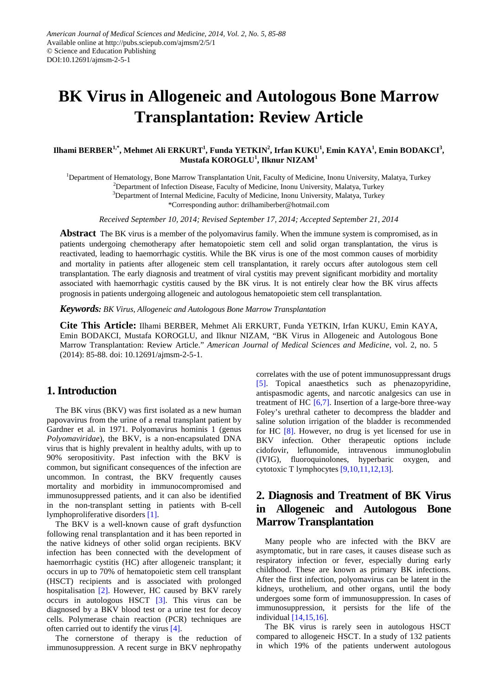# **BK Virus in Allogeneic and Autologous Bone Marrow Transplantation: Review Article**

#### ${\bf I}$ Ilhami BERBER $^{\!1,*}$ , Mehmet Ali ERKURT $^{\!1}$ , Funda YETKIN $^{\!2}$ , Irfan KUKU $^{\!1}$ , Emin KAYA $^{\!1}$ , Emin BODAKCI $^{\!3}$ , **Mustafa KOROGLU<sup>1</sup> , Ilknur NIZAM<sup>1</sup>**

<sup>1</sup>Department of Hematology, Bone Marrow Transplantation Unit, Faculty of Medicine, Inonu University, Malatya, Turkey

<sup>2</sup>Department of Infection Disease, Faculty of Medicine, Inonu University, Malatya, Turkey

<sup>3</sup>Department of Internal Medicine, Faculty of Medicine, Inonu University, Malatya, Turkey

\*Corresponding author: drilhamiberber@hotmail.com

*Received September 10, 2014; Revised September 17, 2014; Accepted September 21, 2014*

**Abstract** The BK virus is a member of the polyomavirus family. When the immune system is compromised, as in patients undergoing chemotherapy after hematopoietic stem cell and solid organ transplantation, the virus is reactivated, leading to haemorrhagic cystitis. While the BK virus is one of the most common causes of morbidity and mortality in patients after allogeneic stem cell transplantation, it rarely occurs after autologous stem cell transplantation. The early diagnosis and treatment of viral cystitis may prevent significant morbidity and mortality associated with haemorrhagic cystitis caused by the BK virus. It is not entirely clear how the BK virus affects prognosis in patients undergoing allogeneic and autologous hematopoietic stem cell transplantation.

*Keywords: BK Virus, Allogeneic and Autologous Bone Marrow Transplantation*

**Cite This Article:** Ilhami BERBER, Mehmet Ali ERKURT, Funda YETKIN, Irfan KUKU, Emin KAYA, Emin BODAKCI, Mustafa KOROGLU, and Ilknur NIZAM, "BK Virus in Allogeneic and Autologous Bone Marrow Transplantation: Review Article." *American Journal of Medical Sciences and Medicine*, vol. 2, no. 5 (2014): 85-88. doi: 10.12691/ajmsm-2-5-1.

#### **1. Introduction**

The BK virus (BKV) was first isolated as a new human papovavirus from the urine of a renal transplant patient by Gardner et al. in 1971. Polyomavirus hominis 1 (genus *Polyomaviridae*), the BKV, is a non-encapsulated DNA virus that is highly prevalent in healthy adults, with up to 90% seropositivity. Past infection with the BKV is common, but significant consequences of the infection are uncommon. In contrast, the BKV frequently causes mortality and morbidity in immunocompromised and immunosuppressed patients, and it can also be identified in the non-transplant setting in patients with B-cell lymphoproliferative disorders [\[1\].](#page-2-0)

The BKV is a well-known cause of graft dysfunction following renal transplantation and it has been reported in the native kidneys of other solid organ recipients. BKV infection has been connected with the development of haemorrhagic cystitis (HC) after allogeneic transplant; it occurs in up to 70% of hematopoietic stem cell transplant (HSCT) recipients and is associated with prolonged hospitalisation [\[2\].](#page-2-1) However, HC caused by BKV rarely occurs in autologous HSCT [\[3\].](#page-2-2) This virus can be diagnosed by a BKV blood test or a urine test for decoy cells. Polymerase chain reaction (PCR) techniques are often carried out to identify the virus [\[4\].](#page-3-0)

The cornerstone of therapy is the reduction of immunosuppression. A recent surge in BKV nephropathy correlates with the use of potent immunosuppressant drugs [\[5\].](#page-3-1) Topical anaesthetics such as phenazopyridine, antispasmodic agents, and narcotic analgesics can use in treatment of HC  $[6,7]$ . Insertion of a large-bore three-way Foley's urethral catheter to decompress the bladder and saline solution irrigation of the bladder is recommended for HC [\[8\].](#page-3-3) However, no drug is yet licensed for use in BKV infection. Other therapeutic options include cidofovir, leflunomide, intravenous immunoglobulin (IVIG), fluoroquinolones, hyperbaric oxygen, and cytotoxic T lymphocytes [\[9,10,11,12,13\].](#page-3-4)

## **2. Diagnosis and Treatment of BK Virus in Allogeneic and Autologous Bone Marrow Transplantation**

Many people who are infected with the BKV are asymptomatic, but in rare cases, it causes disease such as respiratory infection or fever, especially during early childhood. These are known as primary BK infections. After the first infection, polyomavirus can be latent in the kidneys, urothelium, and other organs, until the body undergoes some form of immunosuppression. In cases of immunosuppression, it persists for the life of the individual [\[14,15,16\].](#page-3-5)

The BK virus is rarely seen in autologous HSCT compared to allogeneic HSCT. In a study of 132 patients in which 19% of the patients underwent autologous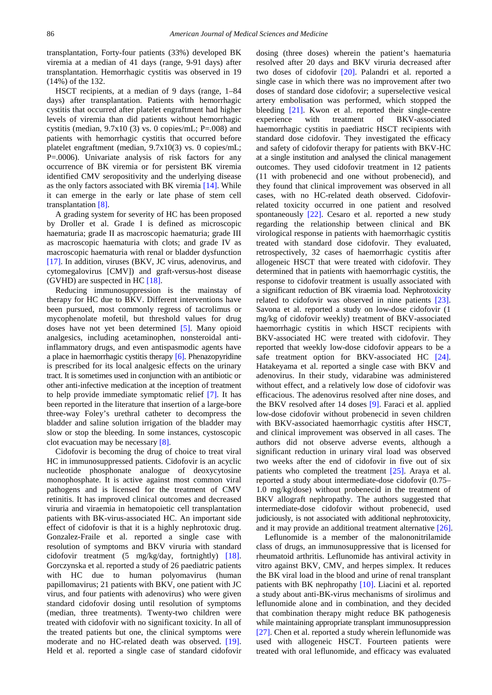transplantation, Forty-four patients (33%) developed BK viremia at a median of 41 days (range, 9-91 days) after transplantation. Hemorrhagic cystitis was observed in 19 (14%) of the 132.

HSCT recipients, at a median of 9 days (range, 1–84 days) after transplantation. Patients with hemorrhagic cystitis that occurred after platelet engraftment had higher levels of viremia than did patients without hemorrhagic cystitis (median,  $9.7x10(3)$  vs. 0 copies/mL; P=.008) and patients with hemorrhagic cystitis that occurred before platelet engraftment (median, 9.7x10(3) vs. 0 copies/mL; P=.0006). Univariate analysis of risk factors for any occurrence of BK viremia or for persistent BK viremia identified CMV seropositivity and the underlying disease as the only factors associated with BK viremia [\[14\].](#page-3-5) While it can emerge in the early or late phase of stem cell transplantation [\[8\].](#page-3-3)

A grading system for severity of HC has been proposed by Droller et al. Grade I is defined as microscopic haematuria; grade II as macroscopic haematuria; grade III as macroscopic haematuria with clots; and grade IV as macroscopic haematuria with renal or bladder dysfunction [\[17\].](#page-3-6) In addition, viruses (BKV, JC virus, adenovirus, and cytomegalovirus [CMV]) and graft-versus-host disease (GVHD) are suspected in HC [\[18\].](#page-3-7)

Reducing immunosuppression is the mainstay of therapy for HC due to BKV. Different interventions have been pursued, most commonly regress of tacrolimus or mycophenolate mofetil, but threshold values for drug doses have not yet been determined [\[5\].](#page-3-1) Many opioid analgesics, including acetaminophen, nonsteroidal antiinflammatory drugs, and even antispasmodic agents have a place in haemorrhagic cystitis therapy [\[6\].](#page-3-2) Phenazopyridine is prescribed for its local analgesic effects on the urinary tract. It is sometimes used in conjunction with an antibiotic or other anti-infective medication at the inception of treatment to help provide immediate symptomatic relief [\[7\].](#page-3-8) It has been reported in the literature that insertion of a large-bore three-way Foley's urethral catheter to decompress the bladder and saline solution irrigation of the bladder may slow or stop the bleeding. In some instances, cystoscopic clot evacuation may be necessary [\[8\].](#page-3-3)

Cidofovir is becoming the drug of choice to treat viral HC in immunosuppressed patients. Cidofovir is an acyclic nucleotide phosphonate analogue of deoxycytosine monophosphate. It is active against most common viral pathogens and is licensed for the treatment of CMV retinitis. It has improved clinical outcomes and decreased viruria and viraemia in hematopoietic cell transplantation patients with BK-virus-associated HC. An important side effect of cidofovir is that it is a highly nephrotoxic drug. Gonzalez-Fraile et al. reported a single case with resolution of symptoms and BKV viruria with standard cidofovir treatment (5 mg/kg/day, fortnightly) [\[18\].](#page-3-7) Gorczynska et al. reported a study of 26 paediatric patients with HC due to human polyomavirus (human papillomavirus; 21 patients with BKV, one patient with JC virus, and four patients with adenovirus) who were given standard cidofovir dosing until resolution of symptoms (median, three treatments). Twenty-two children were treated with cidofovir with no significant toxicity. In all of the treated patients but one, the clinical symptoms were moderate and no HC-related death was observed. [\[19\].](#page-3-9) Held et al. reported a single case of standard cidofovir dosing (three doses) wherein the patient's haematuria resolved after 20 days and BKV viruria decreased after two doses of cidofovir [\[20\].](#page-3-10) Palandri et al. reported a single case in which there was no improvement after two doses of standard dose cidofovir; a superselective vesical artery embolisation was performed, which stopped the bleeding [\[21\].](#page-3-11) Kwon et al. reported their single-centre experience with treatment of BKV-associated haemorrhagic cystitis in paediatric HSCT recipients with standard dose cidofovir. They investigated the efficacy and safety of cidofovir therapy for patients with BKV-HC at a single institution and analysed the clinical management outcomes. They used cidofovir treatment in 12 patients (11 with probenecid and one without probenecid), and they found that clinical improvement was observed in all cases, with no HC-related death observed. Cidofovirrelated toxicity occurred in one patient and resolved spontaneously [\[22\].](#page-3-12) Cesaro et al. reported a new study regarding the relationship between clinical and BK virological response in patients with haemorrhagic cystitis treated with standard dose cidofovir. They evaluated, retrospectively, 32 cases of haemorrhagic cystitis after allogeneic HSCT that were treated with cidofovir. They determined that in patients with haemorrhagic cystitis, the response to cidofovir treatment is usually associated with a significant reduction of BK viraemia load. Nephrotoxicity related to cidofovir was observed in nine patients [\[23\].](#page-3-13) Savona et al. reported a study on low-dose cidofovir (1 mg/kg of cidofovir weekly) treatment of BKV-associated haemorrhagic cystitis in which HSCT recipients with BKV-associated HC were treated with cidofovir. They reported that weekly low-dose cidofovir appears to be a safe treatment option for BKV-associated HC [\[24\].](#page-3-14) Hatakeyama et al. reported a single case with BKV and adenovirus. In their study, vidarabine was administered without effect, and a relatively low dose of cidofovir was efficacious. The adenovirus resolved after nine doses, and the BKV resolved after 14 doses [\[9\].](#page-3-4) Faraci et al. applied low-dose cidofovir without probenecid in seven children with BKV-associated haemorrhagic cystitis after HSCT, and clinical improvement was observed in all cases. The authors did not observe adverse events, although a significant reduction in urinary viral load was observed two weeks after the end of cidofovir in five out of six patients who completed the treatment [\[25\].](#page-3-15) Araya et al. reported a study about intermediate-dose cidofovir (0.75– 1.0 mg/kg/dose) without probenecid in the treatment of BKV allograft nephropathy. The authors suggested that intermediate-dose cidofovir without probenecid, used judiciously, is not associated with additional nephrotoxicity, and it may provide an additional treatment alternative [\[26\].](#page-3-16)

Leflunomide is a member of the malononitrilamide class of drugs, an immunosuppressive that is licensed for rheumatoid arthritis. Leflunomide has antiviral activity in vitro against BKV, CMV, and herpes simplex. It reduces the BK viral load in the blood and urine of renal transplant patients with BK nephropathy [\[10\].](#page-3-17) Liacini et al. reported a study about anti-BK-virus mechanisms of sirolimus and leflunomide alone and in combination, and they decided that combination therapy might reduce BK pathogenesis while maintaining appropriate transplant immunosuppression [\[27\].](#page-3-18) Chen et al. reported a study wherein leflunomide was used with allogeneic HSCT. Fourteen patients were treated with oral leflunomide, and efficacy was evaluated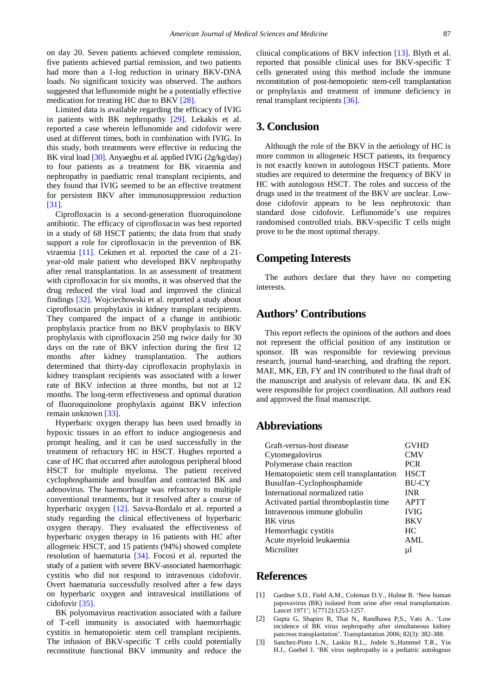on day 20. Seven patients achieved complete remission, five patients achieved partial remission, and two patients had more than a 1-log reduction in urinary BKV-DNA loads. No significant toxicity was observed. The authors suggested that leflunomide might be a potentially effective medication for treating HC due to BKV [\[28\].](#page-3-19)

Limited data is available regarding the efficacy of IVIG in patients with BK nephropathy [\[29\].](#page-3-20) Lekakis et al. reported a case wherein leflunomide and cidofovir were used at different times, both in combination with IVIG. In this study, both treatments were effective in reducing the BK viral load [\[30\].](#page-3-21) Anyaegbu et al. applied IVIG (2g/kg/day) to four patients as a treatment for BK viraemia and nephropathy in paediatric renal transplant recipients, and they found that IVIG seemed to be an effective treatment for persistent BKV after immunosuppression reduction [\[31\].](#page-3-22)

Ciprofloxacin is a second-generation fluoroquinolone antibiotic. The efficacy of ciprofloxacin was best reported in a study of 68 HSCT patients; the data from that study support a role for ciprofloxacin in the prevention of BK viraemia [\[11\].](#page-3-23) Cekmen et al. reported the case of a 21 year-old male patient who developed BKV nephropathy after renal transplantation. In an assessment of treatment with ciprofloxacin for six months, it was observed that the drug reduced the viral load and improved the clinical findings [\[32\].](#page-3-24) Wojciechowski et al. reported a study about ciprofloxacin prophylaxis in kidney transplant recipients. They compared the impact of a change in antibiotic prophylaxis practice from no BKV prophylaxis to BKV prophylaxis with ciprofloxacin 250 mg twice daily for 30 days on the rate of BKV infection during the first 12 months after kidney transplantation. The authors determined that thirty-day ciprofloxacin prophylaxis in kidney transplant recipients was associated with a lower rate of BKV infection at three months, but not at 12 months. The long-term effectiveness and optimal duration of fluoroquinolone prophylaxis against BKV infection remain unknow[n \[33\].](#page-3-25)

Hyperbaric oxygen therapy has been used broadly in hypoxic tissues in an effort to induce angiogenesis and prompt healing, and it can be used successfully in the treatment of refractory HC in HSCT. Hughes reported a case of HC that occurred after autologous peripheral blood HSCT for multiple myeloma. The patient received cyclophosphamide and busulfan and contracted BK and adenovirus. The haemorrhage was refractory to multiple conventional treatments, but it resolved after a course of hyperbaric oxygen [\[12\].](#page-3-26) Savva-Bordalo et al. reported a study regarding the clinical effectiveness of hyperbaric oxygen therapy. They evaluated the effectiveness of hyperbaric oxygen therapy in 16 patients with HC after allogeneic HSCT, and 15 patients (94%) showed complete resolution of haematuria [\[34\].](#page-3-27) Focosi et al. reported the study of a patient with severe BKV-associated haemorrhagic cystitis who did not respond to intravenous cidofovir. Overt haematuria successfully resolved after a few days on hyperbaric oxygen and intravesical instillations of cidofovir [\[35\].](#page-3-28)

BK polyomavirus reactivation associated with a failure of T-cell immunity is associated with haemorrhagic cystitis in hematopoietic stem cell transplant recipients. The infusion of BKV-specific T cells could potentially reconstitute functional BKV immunity and reduce the clinical complications of BKV infection [\[13\].](#page-3-29) Blyth et al. reported that possible clinical uses for BKV-specific T cells generated using this method include the immune reconstitution of post-hemopoietic stem-cell transplantation or prophylaxis and treatment of immune deficiency in renal transplant recipients [\[36\].](#page-3-30)

## **3. Conclusion**

Although the role of the BKV in the aetiology of HC is more common in allogeneic HSCT patients, its frequency is not exactly known in autologous HSCT patients. More studies are required to determine the frequency of BKV in HC with autologous HSCT. The roles and success of the drugs used in the treatment of the BKV are unclear. Lowdose cidofovir appears to be less nephrotoxic than standard dose cidofovir. Leflunomide's use requires randomised controlled trials. BKV-specific T cells might prove to be the most optimal therapy.

#### **Competing Interests**

The authors declare that they have no competing interests.

## **Authors' Contributions**

This report reflects the opinions of the authors and does not represent the official position of any institution or sponsor. IB was responsible for reviewing previous research, journal hand-searching, and drafting the report. MAE, MK, EB, FY and IN contributed to the final draft of the manuscript and analysis of relevant data. IK and EK were responsible for project coordination. All authors read and approved the final manuscript.

#### **Abbreviations**

| Graft-versus-host disease               | <b>GVHD</b>  |
|-----------------------------------------|--------------|
| Cytomegalovirus                         | <b>CMV</b>   |
| Polymerase chain reaction               | <b>PCR</b>   |
| Hematopoietic stem cell transplantation | <b>HSCT</b>  |
| Busulfan-Cyclophosphamide               | <b>BU-CY</b> |
| International normalized ratio          | <b>INR</b>   |
| Activated partial thromboplastin time   | <b>APTT</b>  |
| Intravenous immune globulin             | <b>IVIG</b>  |
| <b>BK</b> virus                         | <b>BKV</b>   |
| Hemorrhagic cystitis                    | HC           |
| Acute myeloid leukaemia                 | <b>AML</b>   |
| Microliter                              | μl           |

## **References**

- <span id="page-2-0"></span>[1] Gardner S.D., Field A.M., Coleman D.V., Hulme B. 'New human papovavirus (BK) isolated from urine after renal transplantation. Lancet 1971'; 1(7712):1253-1257.
- <span id="page-2-1"></span>[2] Gupta G, Shapiro R, Thai N., Randhawa P,S., Vats A.. 'Low incidence of BK virus nephropathy after simultaneous kidney pancreas transplantation'. Transplantation 2006; 82(3): 382-388.
- <span id="page-2-2"></span>[3] Sanchez-Pinto L.N., Laskin B.L., Jodele S.,Hummel T.R., Yin H.J., Goebel J. 'BK virus nephropathy in a pediatric autologous